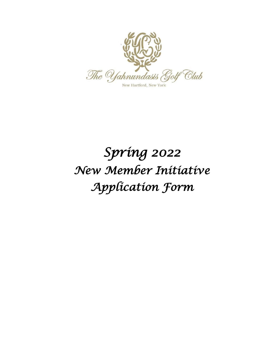

# *Spring 2022 New Member Initiative Application Form*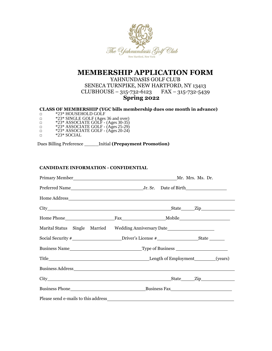

## **MEMBERSHIP APPLICATION FORM**

YAHNUNDASIS GOLF CLUB SENECA TURNPIKE, NEW HARTFORD, NY 13413 CLUBHOUSE – 315-732-6123 FAX – 315-732-5439 **Spring 2022**

### **CLASS OF MEMBERSHIP (YGC bills membership dues one month in advance)**

- □ \*23\* HOUSEHOLD GOLF
- □ \*23\* SINGLE GOLF (Ages 36 and over)
- □ \*23\* ASSOCIATE GOLF (Ages 30-35)
- □ \*23\* ASSOCIATE GOLF (Ages 25-29)
- □ \*23\* ASSOCIATE GOLF (Ages 20-24)
- □ \*23\* SOCIAL

Dues Billing Preference \_\_\_\_\_Initial **(Prepayment Promotion)**

#### **CANDIDATE INFORMATION - CONFIDENTIAL**

| Marital Status Single Married Wedding Anniversary Date__________________________                     |  |  |
|------------------------------------------------------------------------------------------------------|--|--|
| Social Security #_______________________Driver's License #______________________State ______________ |  |  |
|                                                                                                      |  |  |
|                                                                                                      |  |  |
|                                                                                                      |  |  |
|                                                                                                      |  |  |
|                                                                                                      |  |  |
|                                                                                                      |  |  |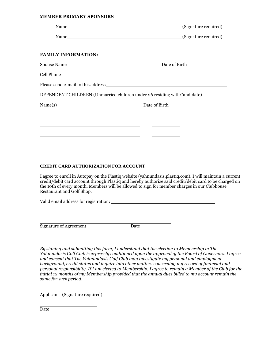#### **MEMBER PRIMARY SPONSORS**

|                                                                                                                     | (Signature required) |
|---------------------------------------------------------------------------------------------------------------------|----------------------|
|                                                                                                                     | (Signature required) |
|                                                                                                                     |                      |
| <b>FAMILY INFORMATION:</b>                                                                                          |                      |
| Spouse Name                                                                                                         |                      |
|                                                                                                                     |                      |
|                                                                                                                     |                      |
| DEPENDENT CHILDREN (Unmarried children under 26 residing with Candidate)                                            |                      |
| Name(s)                                                                                                             | Date of Birth        |
|                                                                                                                     |                      |
| <u> 1980 - Jan James James Jan James James James James James James James James James James James James James Ja</u> |                      |
|                                                                                                                     |                      |
|                                                                                                                     |                      |

#### **CREDIT CARD AUTHORIZATION FOR ACCOUNT**

I agree to enroll in Autopay on the Plastiq website (yahnundasis.plastiq.com). I will maintain a current credit/debit card account through Plastiq and hereby authorize said credit/debit card to be charged on the 10th of every month. Members will be allowed to sign for member charges in our Clubhouse Restaurant and Golf Shop.

Valid email address for registration:

Signature of Agreement Date

*By signing and submitting this form, I understand that the election to Membership in The Yahnundasis Golf Club is expressly conditioned upon the approval of the Board of Governors. I agree and consent that The Yahnundasis Golf Club may investigate my personal and employment background, credit status and inquire into other matters concerning my record of financial and personal responsibility. If I am elected to Membership, I agree to remain a Member of the Club for the initial 12 months of my Membership provided that the annual dues billed to my account remain the same for such period.*

Applicant (Signature required)